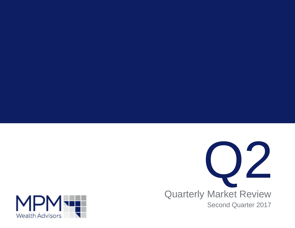

Quarterly Market Review Second Quarter 2017

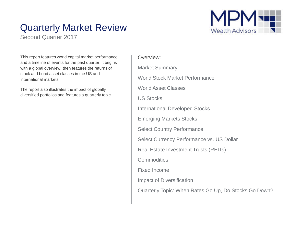## Quarterly Market Review

Second Quarter 2017



This report features world capital market performance and a timeline of events for the past quarter. It begins with a global overview, then features the returns of stock and bond asset classes in the US and international markets.

The report also illustrates the impact of globally diversified portfolios and features a quarterly topic.

### Overview:

Market Summary World Stock Market Performance World Asset Classes US Stocks International Developed Stocks Emerging Markets Stocks Select Country Performance Select Currency Performance vs. US Dollar Real Estate Investment Trusts (REITs) **Commodities** Fixed Income Impact of Diversification Quarterly Topic: When Rates Go Up, Do Stocks Go Down?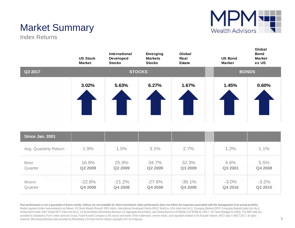

**Global** 

# Market Summary

Index Returns

|         | <b>US Stock</b><br><b>Market</b> | International<br>Developed<br><b>Stocks</b> | <b>Emerging</b><br><b>Markets</b><br><b>Stocks</b> | Global<br>Real<br><b>Estate</b> | <b>US Bond</b><br><b>Market</b> | Global<br><b>Bond</b><br><b>Market</b><br>ex US |
|---------|----------------------------------|---------------------------------------------|----------------------------------------------------|---------------------------------|---------------------------------|-------------------------------------------------|
| Q2 2017 |                                  | <b>STOCKS</b>                               |                                                    |                                 |                                 | <b>BONDS</b>                                    |
|         | 3.02%                            | 5.63%                                       | 6.27%                                              | 1.67%                           | 1.45%                           | 0.60%                                           |

| Since Jan. 2001       |          |          |          |          |          |         |
|-----------------------|----------|----------|----------|----------|----------|---------|
| Avg. Quarterly Return | 1.9%     | 1.5%     | 3.1%     | 2.7%     | 1.2%     | 1.1%    |
| <b>Best</b>           | 16.8%    | 25.9%    | 34.7%    | 32.3%    | 4.6%     | 5.5%    |
| Quarter               | Q2 2009  | Q2 2009  | Q2 2009  | Q3 2009  | Q3 2001  | Q4 2008 |
| Worst                 | $-22.8%$ | $-21.2%$ | $-27.6%$ | $-36.1%$ | $-3.0\%$ | $-3.2%$ |
| Quarter               | Q4 2008  | Q4 2008  | Q4 2008  | Q4 2008  | Q4 2016  | Q2 2015 |

Past performance is not a guarantee of future results. Indices are not available for direct investment. Index performance does not reflect the expenses associated with the management of an actual portfolio. Market segment (index representation) as follows: US Stock Market (Russell 3000 Index), International Developed Stocks (MSCI World ex USA Index [net div.]), Emerging Markets (MSCI Emerging Markets Index [net div.]), Market Global Real Estate (S&P Global REIT Index [net div.]), US Bond Market (Bloomberg Barclays US Aggregate Bond Index), and Global Bond ex US Market (Citi WGBI ex USA 1−30 Years [Hedged to USD]). The S&P data are provided by Standard & Poor's Index Services Group. Frank Russell Company is the source and owner of the trademarks, service marks, and copyrights related to the Russell Indexes. MSCI data © MSCI 2017, all rights reserved. Bloomberg Barclays data provided by Bloomberg. Citi fixed income indices copyright 2017 by Citigroup.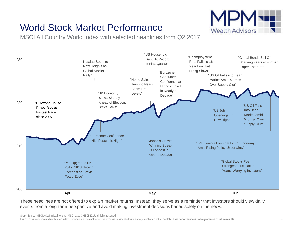### World Stock Market Performance

MSCI All Country World Index with selected headlines from Q2 2017



These headlines are not offered to explain market returns. Instead, they serve as a reminder that investors should view daily events from a long-term perspective and avoid making investment decisions based solely on the news.

Graph Source: MSCI ACWI Index [net div.]. MSCI data © MSCI 2017, all rights reserved.

It is not possible to invest directly in an index. Performance does not reflect the expenses associated with management of an actual portfolio. **Past performance is not a guarantee of future results**.

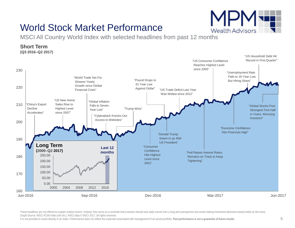

### World Stock Market Performance

MSCI All Country World Index with selected headlines from past 12 months



These headlines are not offered to explain market returns. Instead, they serve as a reminder that investors should view daily events from a long-term perspective and avoid making investment decisions based solely on the ne Graph Source: MSCI ACWI Index [net div.]. MSCI data © MSCI 2017, all rights reserved.

It is not possible to invest directly in an index. Performance does not reflect the expenses associated with management of an actual portfolio. **Past performance is not a guarantee of future results**.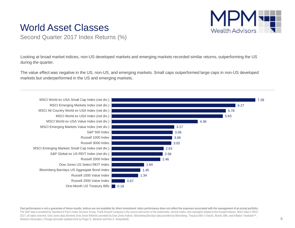### World Asset Classes



Second Quarter 2017 Index Returns (%)

Looking at broad market indices, non-US developed markets and emerging markets recorded similar returns, outperforming the US during the quarter.

The value effect was negative in the US, non-US, and emerging markets. Small caps outperformed large caps in non-US developed markets but underperformed in the US and emerging markets.



Past performance is not a quarantee of future results. Indices are not available for direct investment. Index performance does not reflect the expenses associated with the management of an actual portfolio. The S&P data is provided by Standard & Poor's Index Services Group. Frank Russell Company is the source and owner of the trademarks, service marks, and copyrights related to the Russell Indexes. MSCI data © MSCI 2017, all rights reserved. Dow Jones data (formerly Dow Jones Wilshire) provided by Dow Jones Indices. Bloomberg Barclays data provided by Bloomberg. Treasury bills © Stocks, Bonds, Bills, and Inflation Yearbook™, Ibbotson Associates, Chicago (annually updated work by Roger G. Ibbotson and Rex A. Sinquefield).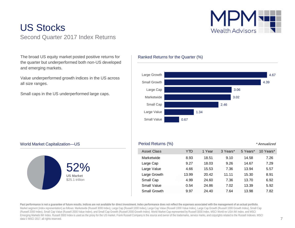### US Stocks Second Quarter 2017 Index Returns



The broad US equity market posted positive returns for the quarter but underperformed both non-US developed and emerging markets.

Value underperformed growth indices in the US across all size ranges.

Small caps in the US underperformed large caps.





### World Market Capitalization—US



### Period Returns (%) *\* Annualized*

| Asset Class  | YTD   | 1 Year | 3 Years* | 5 Years* | 10 Years* |
|--------------|-------|--------|----------|----------|-----------|
| Marketwide   | 8.93  | 18.51  | 9.10     | 14.58    | 7.26      |
| Large Cap    | 9.27  | 18.03  | 9.26     | 14.67    | 7.29      |
| Large Value  | 4.66  | 15.53  | 7.36     | 13.94    | 5.57      |
| Large Growth | 13.99 | 20.42  | 11.11    | 15.30    | 8.91      |
| Small Cap    | 4.99  | 24.60  | 7.36     | 13.70    | 6.92      |
| Small Value  | 0.54  | 24.86  | 7.02     | 13.39    | 5.92      |
| Small Growth | 9.97  | 24.40  | 7.64     | 13.98    | 7.82      |

**Past performance is not a guarantee of future results. Indices are not available for direct investment. Index performance does not reflect the expenses associated with the management of an actual portfolio**. Market segment (index representation) as follows: Marketwide (Russell 3000 Index), Large Cap (Russell 1000 Index), Large Cap Value (Russell 1000 Value Index), Large Cap Growth (Russell 1000 Growth Index), Small Cap (Russell 2000 Index), Small Cap Value (Russell 2000 Value Index), and Small Cap Growth (Russell 2000 Growth Index). World Market Cap represented by Russell 3000 Index, MSCI World ex USA IMI Index, and MSCI Emerging Markets IMI Index. Russell 3000 Index is used as the proxy for the US market. Frank Russell Company is the source and owner of the trademarks, service marks, and copyrights related to the Russell Indexes. MSCI data © MSCI 2017, all rights reserved.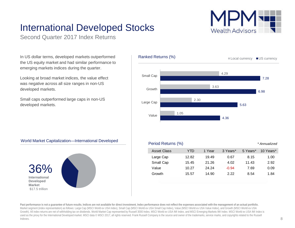## International Developed Stocks

Second Quarter 2017 Index Returns

In US dollar terms, developed markets outperformed the US equity market and had similar performance to emerging markets indices during the quarter.

Looking at broad market indices, the value effect was negative across all size ranges in non-US developed markets.

Small caps outperformed large caps in non-US developed markets.



### **International Developed Market** \$17.5 trillion

|  | <b>Asset Class</b> | YTD   | Year  | 3 Years* | 5 Years* | 10 Years* |
|--|--------------------|-------|-------|----------|----------|-----------|
|  | Large Cap          | 12.82 | 19.49 | 0.67     | 8.15     | 1.00      |
|  | Small Cap          | 15.45 | 21.26 | 4.02     | 11.43    | 2.92      |
|  | Value              | 10.27 | 24.24 | $-0.94$  | 7.69     | 0.09      |
|  | Growth             | 15.57 | 14.90 | 2.22     | 8.54     | 1.84      |
|  |                    |       |       |          |          |           |

Period Returns (%) *\* Annualized*

Past performance is not a quarantee of future results. Indices are not available for direct investment. Index performance does not reflect the expenses associated with the management of an actual portfolio. Market segment (index representation) as follows: Large Cap (MSCI World ex USA Index), Small Cap (MSCI World ex USA Small Cap Index), Value (MSCI World ex USA Value Index), and Growth (MSCI World ex USA Growth). All index returns are net of withholding tax on dividends. World Market Cap represented by Russell 3000 Index, MSCI World ex USA IMI Index, and MSCI Emerging Markets IMI Index. MSCI World ex USA IMI Index is used as the proxy for the International Developed market. MSCI data © MSCI 2017, all rights reserved. Frank Russell Company is the source and owner of the trademarks, service marks, and copyrights related to the Russell Indexes.

World Market Capitalization—International Developed

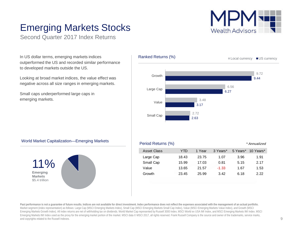

### Emerging Markets Stocks

Second Quarter 2017 Index Returns

In US dollar terms, emerging markets indices outperformed the US and recorded similar performance to developed markets outside the US.

Looking at broad market indices, the value effect was negative across all size ranges in emerging markets.

Small caps underperformed large caps in emerging markets.



### World Market Capitalization—Emerging Markets



### Period Returns (%) *\* Annualized*

| YTD   | 1 Year | 3 Years* | 5 Years* | 10 Years* |
|-------|--------|----------|----------|-----------|
| 18.43 | 23.75  | 1.07     | 3.96     | 1.91      |
| 15.99 | 17.03  | 0.81     | 5.15     | 2.17      |
| 13.65 | 21.57  | $-1.33$  | 1.67     | 1.53      |
| 23.45 | 25.99  | 3.42     | 6.18     | 222       |
|       |        |          |          |           |

Past performance is not a quarantee of future results. Indices are not available for direct investment. Index performance does not reflect the expenses associated with the management of an actual portfolio. Market segment (index representation) as follows: Large Cap (MSCI Emerging Markets Index), Small Cap (MSCI Emerging Markets Small Cap Index), Value (MSCI Emerging Markets Value Index), and Growth (MSCI Emerging Markets Growth Index). All index returns are net of withholding tax on dividends. World Market Cap represented by Russell 3000 Index, MSCI World ex USA IMI Index, and MSCI Emerging Markets IMI Index. MSCI Emerging Markets IMI Index used as the proxy for the emerging market portion of the market. MSCI data © MSCI 2017, all rights reserved. Frank Russell Company is the source and owner of the trademarks, service marks, and copyrights related to the Russell Indexes.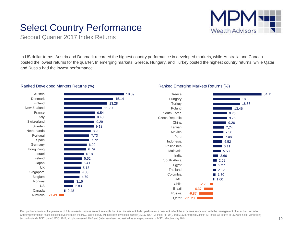### Select Country Performance



Second Quarter 2017 Index Returns

In US dollar terms, Austria and Denmark recorded the highest country performance in developed markets, while Australia and Canada posted the lowest returns for the quarter. In emerging markets, Greece, Hungary, and Turkey posted the highest country returns, while Qatar and Russia had the lowest performance.



### Ranked Developed Markets Returns (%)





**Past performance is not a guarantee of future results. Indices are not available for direct investment. Index performance does not reflect the expenses associated with the management of an actual portfolio**. Country performance based on respective indices in the MSCI World ex US IMI Index (for developed markets), MSCI USA IMI Index (for US), and MSCI Emerging Markets IMI Index. All returns in USD and net of withholding tax on dividends. MSCI data © MSCI 2017, all rights reserved. UAE and Qatar have been reclassified as emerging markets by MSCI, effective May 2014.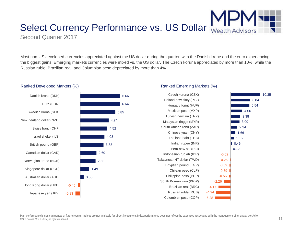# Select Currency Performance vs. US Dollar

Second Quarter 2017

Most non-US developed currencies appreciated against the US dollar during the quarter, with the Danish krone and the euro experiencing the biggest gains. Emerging markets currencies were mixed vs. the US dollar. The Czech koruna appreciated by more than 10%, while the Russian ruble, Brazilian real, and Columbian peso depreciated by more than 4%.



#### Ranked Developed Markets (%)

#### Ranked Emerging Markets (%)

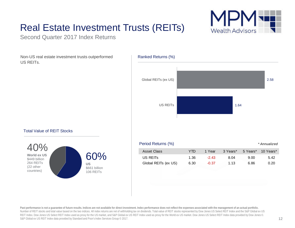# Real Estate Investment Trusts (REITs)



Non-US real estate investment trusts outperformed US REITs.







Past performance is not a quarantee of future results. Indices are not available for direct investment. Index performance does not reflect the expenses associated with the management of an actual portfolio. Number of REIT stocks and total value based on the two indices. All index returns are net of withholding tax on dividends. Total value of REIT stocks represented by Dow Jones US Select REIT Index and the S&P Global ex US REIT Index. Dow Jones US Select REIT Index used as proxy for the US market, and S&P Global ex US REIT Index used as proxy for the World ex US market. Dow Jones US Select REIT Index data provided by Dow Jones ©. S&P Global ex US REIT Index data provided by Standard and Poor's Index Services Group © 2017.

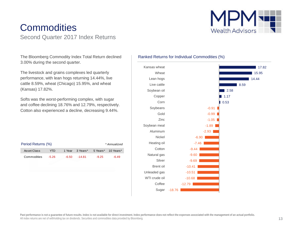# **Commodities**

Second Quarter 2017 Index Returns

**Wealth Advisors** 

The Bloomberg Commodity Index Total Return declined 3.00% during the second quarter.

The livestock and grains complexes led quarterly performance, with lean hogs returning 14.44%, live cattle 8.59%, wheat (Chicago) 15.95%, and wheat (Kansas) 17.82%.

Softs was the worst-performing complex, with sugar and coffee declining 18.76% and 12.79%, respectively. Cotton also experienced a decline, decreasing 9.44%.

| Period Returns (%)<br>* Annualized |         |       |                 |         |                    |  |
|------------------------------------|---------|-------|-----------------|---------|--------------------|--|
| Asset Class                        | YTD     |       | 1 Year 3 Years* |         | 5 Years* 10 Years* |  |
| Commodities                        | $-5.26$ | -6.50 | $-14.81$        | $-9.25$ | $-6.49$            |  |

### Ranked Returns for Individual Commodities (%)

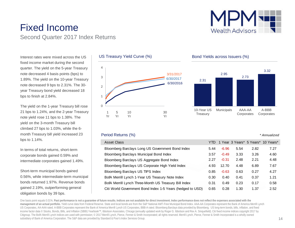



Interest rates were mixed across the US fixed income market during the second quarter. The yield on the 5-year Treasury note decreased 4 basis points (bps) to 1.89%. The yield on the 10-year Treasury note decreased 9 bps to 2.31%. The 30 year Treasury bond yield decreased 18 bps to finish at 2.84%.

The yield on the 1-year Treasury bill rose 21 bps to 1.24%, and the 2-year Treasury note yield rose 11 bps to 1.38%. The yield on the 3-month Treasury bill climbed 27 bps to 1.03%, while the 6 month Treasury bill yield increased 23 bps to 1.14%.

In terms of total returns, short-term corporate bonds gained 0.59% and intermediate corporates gained 1.49%.

Short-term municipal bonds gained 0.56%, while intermediate-term municipal bonds returned 1.97%. Revenue bonds gained 2.19%, outperforming general obligation bonds by 39 bps.



### Bond Yields across Issuers (%)



#### Period Returns (%)

Asset Class **YEARS** YEARS YOU CLASS A SERVE TO A VEHICLE THE VEHICLE TO A VEHICLE THE VEHICLE TO YEARS\* 10 Years\* 10 Years\* Bloomberg Barclays Long US Government Bond Index 5.44 -6.96 5.54 2.82 7.27 Bloomberg Barclays Municipal Bond Index 3.57 -0.49 3.33 3.26 4.60 Bloomberg Barclays US Aggregate Bond Index 2.27 -0.31 2.48 2.21 4.48 Bloomberg Barclays US Corporate High Yield Index 4.93 12.70 4.48 6.89 7.67 Bloomberg Barclays US TIPS Index  $0.85 -0.63 -0.63 -0.27 +0.27$ BofA Merrill Lynch 1-Year US Treasury Note Index 0.30 0.40 0.41 0.37 1.21 BofA Merrill Lynch Three-Month US Treasury Bill Index  $0.31$  0.49 0.23 0.17 0.58 Citi World Government Bond Index 1-5 Years (hedged to USD) 0.65 0.28 1.30 1.37 2.52

One basis point equals 0.01%. Past performance is not a quarantee of future results. Indices are not available for direct investment. Index performance does not reflect the expenses associated with the **management of an actual portfolio.** Yield curve data from Federal Reserve. State and local bonds are from the S&P National AMT-Free Municipal Bond Index. AAA-AA Corporates represent the Bank of America Merrill Lynch US Corporates, AA-AAA rated. A-BBB Corporates represent the Bank of America Merrill Lynch US Corporates, BBB-A rated. Bloomberg Barclays data provided by Bloomberg. US long-term bonds, bills, inflation, and fixed income factor data © Stocks, Bonds, Bills, and Inflation (SBBI) Yearbook™, Ibbotson Associates, Chicago (annually updated work by Roger G. Ibbotson and Rex A. Sinquefield). Citi fixed income indices copyright 2017 by Citigroup. The BofA Merrill Lynch Indices are used with permission; © 2017 Merrill Lynch, Pierce, Fenner & Smith Incorporated; all rights reserved. Merrill Lynch, Pierce, Fenner & Smith Incorporated is a wholly owned subsidiary of Bank of America Corporation. The S&P data are provided by Standard & Poor's Index Services Group.

*\* Annualized*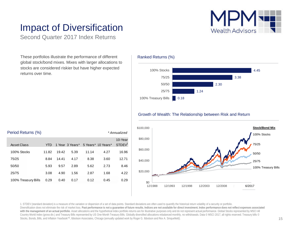

### Impact of Diversification

Second Quarter 2017 Index Returns

These portfolios illustrate the performance of different global stock/bond mixes. Mixes with larger allocations to stocks are considered riskier but have higher expected returns over time.

### Ranked Returns (%)



#### Growth of Wealth: The Relationship between Risk and Return



1. STDEV (standard deviation) is a measure of the variation or dispersion of a set of data points. Standard deviations are often used to quantify the historical return volatility of a security or portfolio. Diversification does not eliminate the risk of market loss. Past performance is not a quarantee of future results. Indices are not available for direct investment. Index performance does not reflect expenses associated with the management of an actual portfolio. Asset allocations and the hypothetical index portfolio returns are for illustrative purposes only and do not represent actual performance. Global Stocks represented by MSCI All Country World Index (gross div.) and Treasury Bills represented by US One-Month Treasury Bills. Globally diversified allocations rebalanced monthly, no withdrawals. Data © MSCI 2017, all rights reserved. Treasury bills © Stocks, Bonds, Bills, and Inflation Yearbook™, Ibbotson Associates, Chicago (annually updated work by Roger G. Ibbotson and Rex A. Sinquefield).

| Period Returns (%)  |       |       |                 |       |                    | * Annualized                  |
|---------------------|-------|-------|-----------------|-------|--------------------|-------------------------------|
| Asset Class         | YTD   |       | 1 Year 3 Years* |       | 5 Years* 10 Years* | 10-Year<br>STDEV <sup>1</sup> |
| 100% Stocks         | 11.82 | 19.42 | 5.39            | 11.14 | 4.27               | 16.96                         |
| 75/25               | 8.84  | 14.41 | 4.17            | 8.38  | 3.60               | 12.71                         |
| 50/50               | 5.93  | 9.57  | 2.89            | 5.62  | 2.73               | 8.46                          |
| 25/75               | 3.08  | 4.90  | 1.56            | 2.87  | 1.68               | 4.22                          |
| 100% Treasury Bills | 0.29  | 0.40  | 0.17            | 0.12  | 0.45               | 0.29                          |
|                     |       |       |                 |       |                    |                               |

#### 15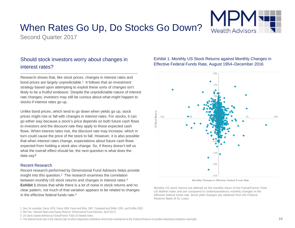### When Rates Go Up, Do Stocks Go Down?

Second Quarter 2017

### Should stock investors worry about changes in interest rates?

Research shows that, like stock prices, changes in interest rates and bond prices are largely unpredictable.<sup>1</sup> It follows that an investment strategy based upon attempting to exploit these sorts of changes isn't likely to be a fruitful endeavor. Despite the unpredictable nature of interest rate changes, investors may still be curious about what might happen to stocks if interest rates go up.

Unlike bond prices, which tend to go down when yields go up, stock prices might rise or fall with changes in interest rates. For stocks, it can go either way because a stock's price depends on both future cash flows to investors and the discount rate they apply to those expected cash flows. When interest rates rise, the discount rate may increase, which in turn could cause the price of the stock to fall. However, it is also possible that when interest rates change, expectations about future cash flows expected from holding a stock also change. So, if theory doesn't tell us what the overall effect should be, the next question is what does the data say?

#### Recent Research

Recent research performed by Dimensional Fund Advisors helps provide insight into this question.2 The research examines the correlation between monthly US stock returns and changes in interest rates.<sup>3</sup> **Exhibit 1** shows that while there is a lot of noise in stock returns and no clear pattern, not much of that variation appears to be related to changes in the effective federal funds rate.<sup>4</sup>

1. See, for example, Fama 1976, Fama 1984, Fama and Bliss 1987, Campbell and Shiller 1991, and Duffee 2002.

2. Wei Dai, "Interest Rates and Equity Returns" (Dimensional Fund Advisors, April 2017).

3. US stock market defined as Fama/French Total US Market Index.

### Exhibit 1. Monthly US Stock Returns against Monthly Changes in Effective Federal Funds Rate, August 1954–December 2016



Monthly Changes in Effective Federal Funds Rate

Monthly US stock returns are defined as the monthly return of the Fama/French Total US Market Index and are compared to contemporaneous monthly changes in the effective federal funds rate. Bond yield changes are obtained from the Federal Reserve Bank of St. Louis.

<sup>4.</sup> The federal funds rate is the interest rate at which depository institutions lend funds maintained at the Federal Reserve to another depository institution overnight.